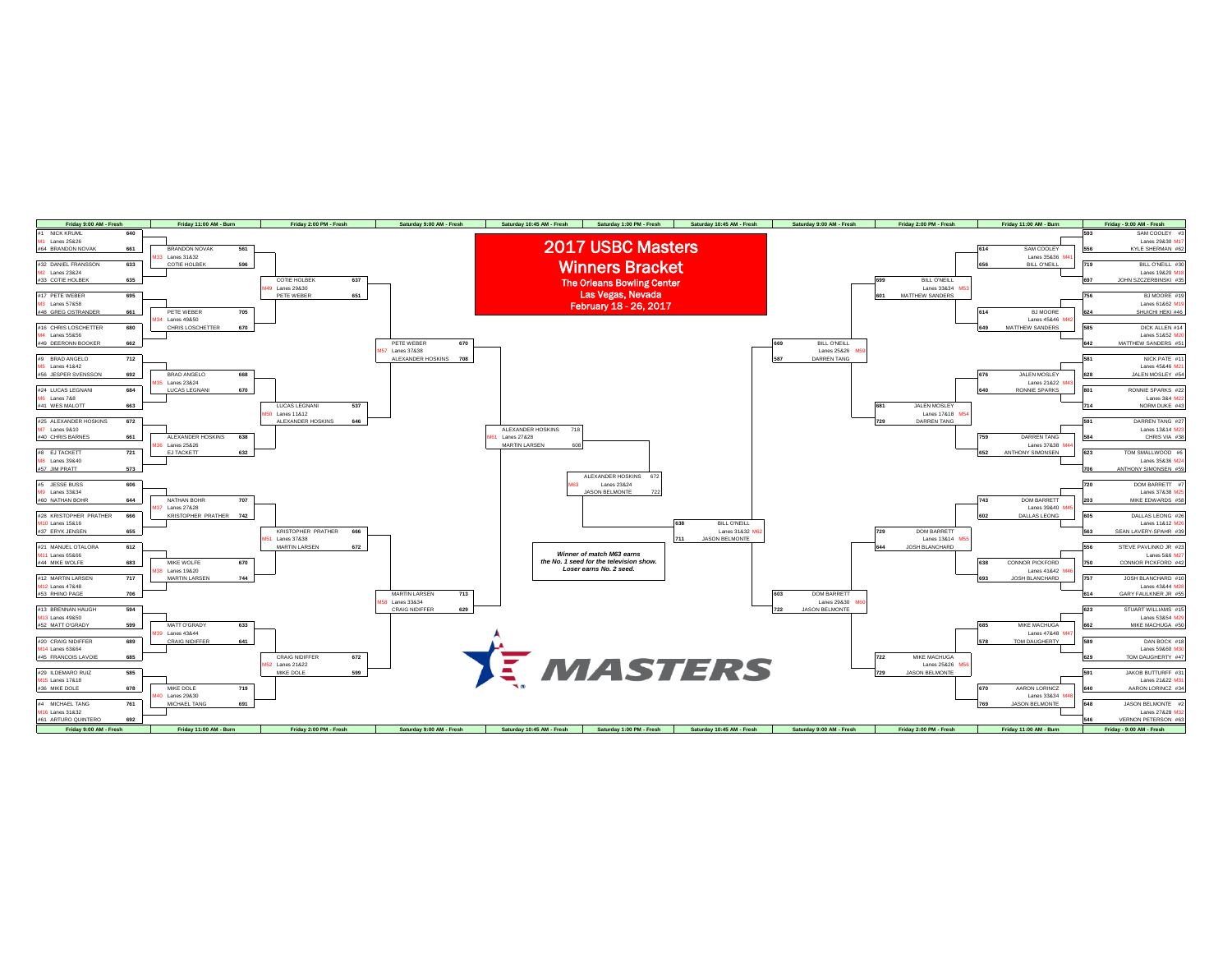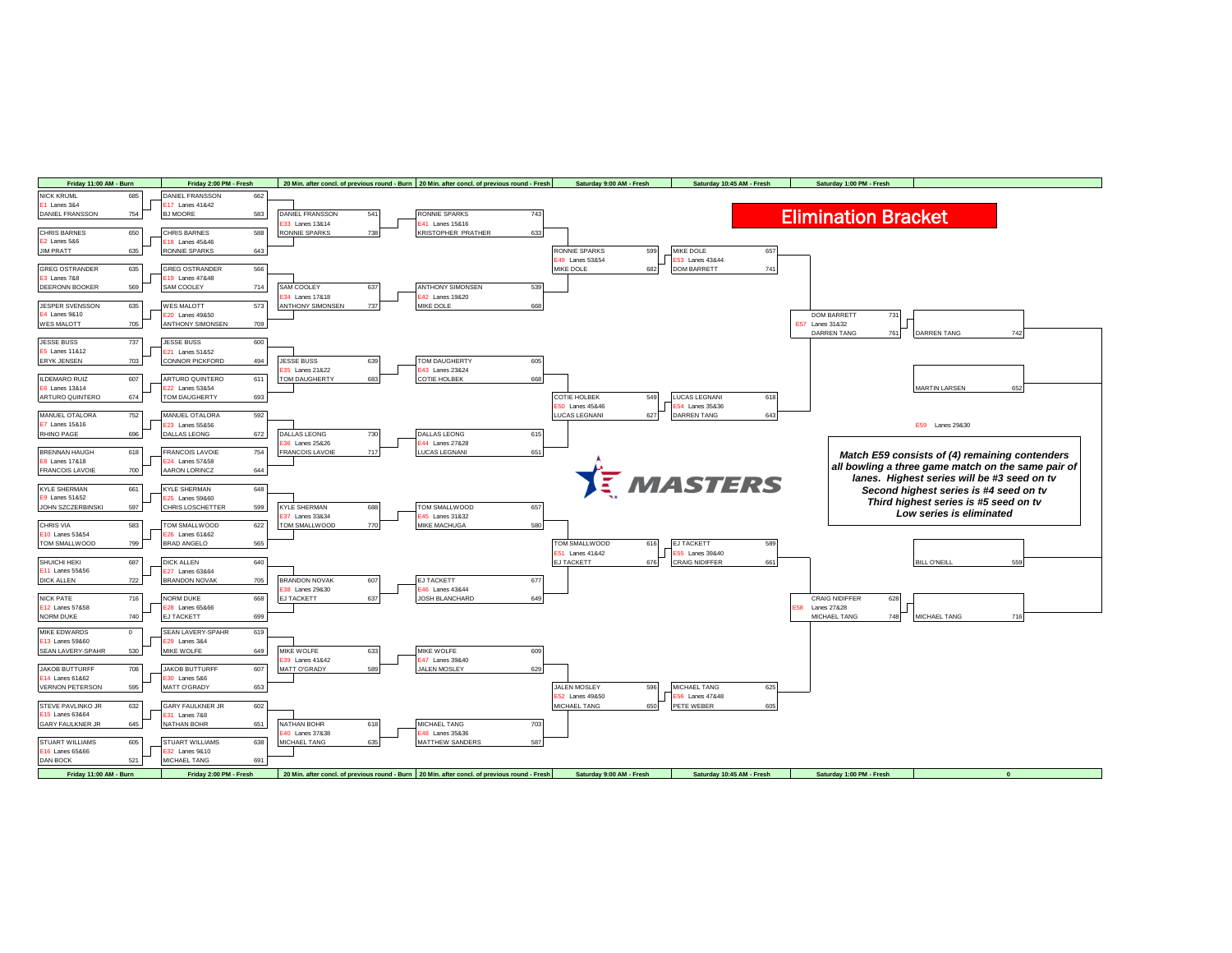